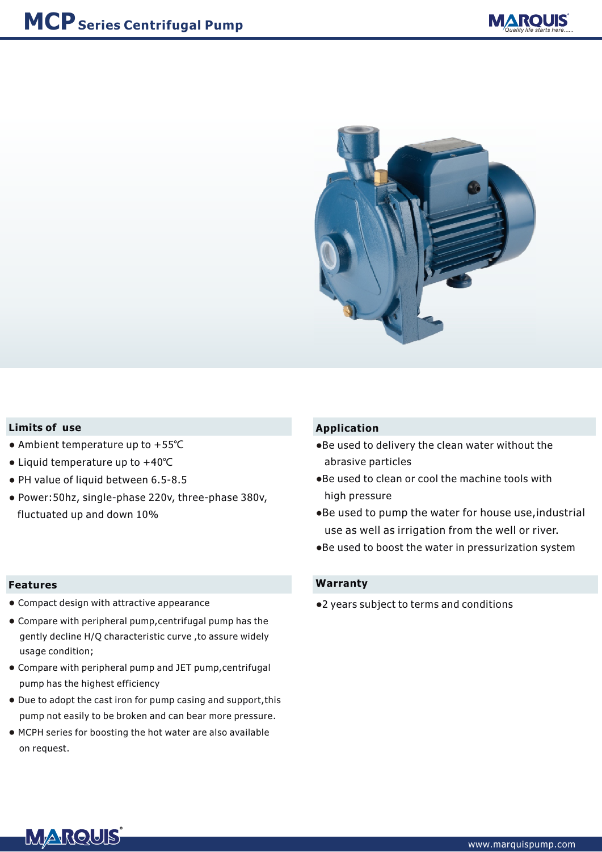



#### **Limits of use**

- Ambient temperature up to +55℃ ●
- Liquid temperature up to +40℃ ●
- PH value of liquid between 6.5-8.5
- Power:50hz, single-phase 220v, three-phase 380v, fluctuated up and down 10%

#### **Features**

- Compact design with attractive appearance
- Compare with peripheral pump,centrifugal pump has the gently decline H/Q characteristic curve ,to assure widely usage condition;
- Compare with peripheral pump and JET pump,centrifugal pump has the highest efficiency
- Due to adopt the cast iron for pump casing and support,this pump not easily to be broken and can bear more pressure.
- MCPH series for boosting the hot water are also available on request.

### **Application**

- Be used to delivery the clean water without the abrasive particles
- Be used to clean or cool the machine tools with high pressure
- Be used to pump the water for house use,industrial use as well as irrigation from the well or river.
- Be used to boost the water in pressurization system ●

#### **Warranty**

●2 years subject to terms and conditions

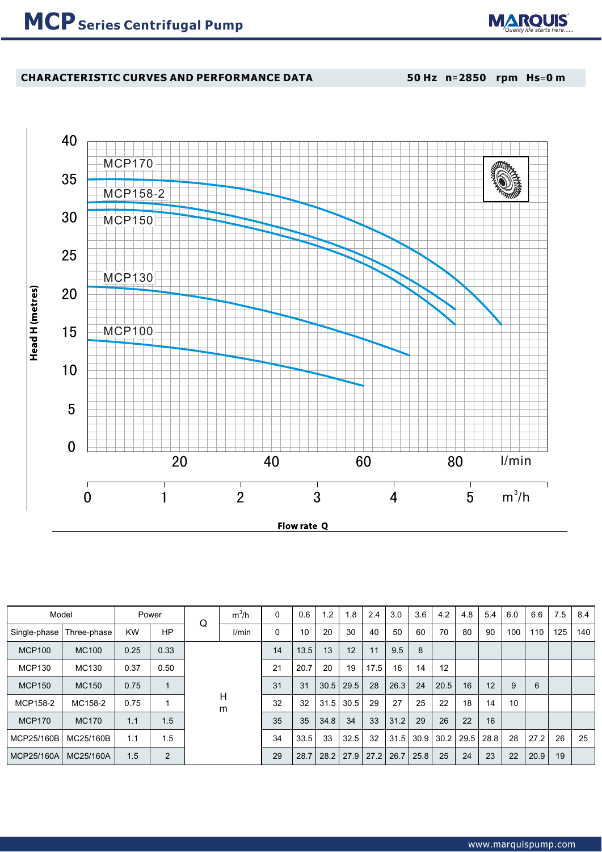

## **CHARACTERISTIC CURVES AND PERFORMANCE DATA**

**50 Hz n**=**2850 rpm Hs**=**0 m**



| Model         |              |           | Power | Q      | $m^3/h$ | 0  | 0.6  | $\cdot$ | 1.8  | 2.4  | 3.0  | 3.6  | 4.2               | 4.8  | 5.4  | 6.0 | 6.6  | 7.5 | 8.4 |
|---------------|--------------|-----------|-------|--------|---------|----|------|---------|------|------|------|------|-------------------|------|------|-----|------|-----|-----|
| Single-phase  | Three-phase  | <b>KW</b> | HP    |        | l/min   | 0  | 10   | 20      | 30   | 40   | 50   | 60   | 70                | 80   | 90   | 100 | 110  | 125 | 140 |
| <b>MCP100</b> | <b>MC100</b> | 0.25      | 0.33  | H<br>m |         | 14 | 13.5 | 13      | 12   | 11   | 9.5  | 8    |                   |      |      |     |      |     |     |
| <b>MCP130</b> | MC130        | 0.37      | 0.50  |        |         | 21 | 20.7 | 20      | 19   | 17.5 | 16   | 14   | $12 \overline{ }$ |      |      |     |      |     |     |
| <b>MCP150</b> | MC150        | 0.75      |       |        |         | 31 | 31   | 30.5    | 29.5 | 28   | 26.3 | 24   | 20.5              | 16   | 12   | 9   | 6    |     |     |
| MCP158-2      | MC158-2      | 0.75      |       |        |         | 32 | 32   | 31.5    | 30.5 | 29   | 27   | 25   | 22                | 18   | 14   | 10  |      |     |     |
| <b>MCP170</b> | <b>MC170</b> | 1.1       | 1.5   |        |         | 35 | 35   | 34.8    | 34   | 33   | 31.2 | 29   | 26                | 22   | 16   |     |      |     |     |
| MCP25/160B    | MC25/160B    | 1.1       | 1.5   |        |         | 34 | 33.5 | 33      | 32.5 | 32   | 31.5 | 30.9 | 30.2              | 29.5 | 28.8 | 28  | 27.2 | 26  | 25  |
| MCP25/160A    | MC25/160A    | 1.5       | 2     |        |         | 29 | 28.7 | 28.2    | 27.9 | 27.2 | 26.7 | 25.8 | 25                | 24   | 23   | 22  | 20.9 | 19  |     |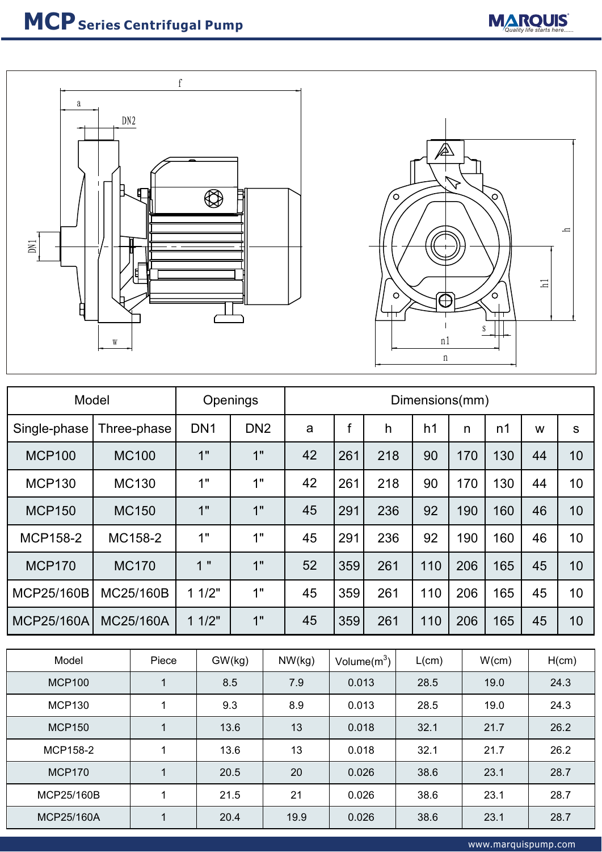



| Model           | Openings     |                 | Dimensions(mm)  |    |     |     |                |     |     |    |              |
|-----------------|--------------|-----------------|-----------------|----|-----|-----|----------------|-----|-----|----|--------------|
| Single-phase    | Three-phase  | DN <sub>1</sub> | DN <sub>2</sub> | a  | f   | h   | h <sub>1</sub> | n   | n1  | W  | $\mathbf{s}$ |
| <b>MCP100</b>   | <b>MC100</b> | 1"              | 1"              | 42 | 261 | 218 | 90             | 170 | 130 | 44 | 10           |
| <b>MCP130</b>   | <b>MC130</b> | 1"              | 1"              | 42 | 261 | 218 | 90             | 170 | 130 | 44 | 10           |
| <b>MCP150</b>   | <b>MC150</b> | 1"              | 1"              | 45 | 291 | 236 | 92             | 190 | 160 | 46 | 10           |
| <b>MCP158-2</b> | MC158-2      | 1"              | 1"              | 45 | 291 | 236 | 92             | 190 | 160 | 46 | 10           |
| <b>MCP170</b>   | <b>MC170</b> | 1"              | 1"              | 52 | 359 | 261 | 110            | 206 | 165 | 45 | 10           |
| MCP25/160B      | MC25/160B    | 11/2"           | 1"              | 45 | 359 | 261 | 110            | 206 | 165 | 45 | 10           |
| MCP25/160A      | MC25/160A    | 11/2"           | 1"              | 45 | 359 | 261 | 110            | 206 | 165 | 45 | 10           |

| Model         | Piece | GW(kg) | NW(kg) | Volume $(m^3)$ | L(cm) | W(cm) | H(cm) |
|---------------|-------|--------|--------|----------------|-------|-------|-------|
| <b>MCP100</b> |       | 8.5    | 7.9    | 0.013          | 28.5  | 19.0  | 24.3  |
| <b>MCP130</b> |       | 9.3    | 8.9    | 0.013          | 28.5  | 19.0  | 24.3  |
| <b>MCP150</b> |       | 13.6   | 13     | 0.018          | 32.1  | 21.7  | 26.2  |
| MCP158-2      |       | 13.6   | 13     | 0.018          | 32.1  | 21.7  | 26.2  |
| <b>MCP170</b> |       | 20.5   | 20     | 0.026          | 38.6  | 23.1  | 28.7  |
| MCP25/160B    |       | 21.5   | 21     | 0.026          | 38.6  | 23.1  | 28.7  |
| MCP25/160A    |       | 20.4   | 19.9   | 0.026          | 38.6  | 23.1  | 28.7  |